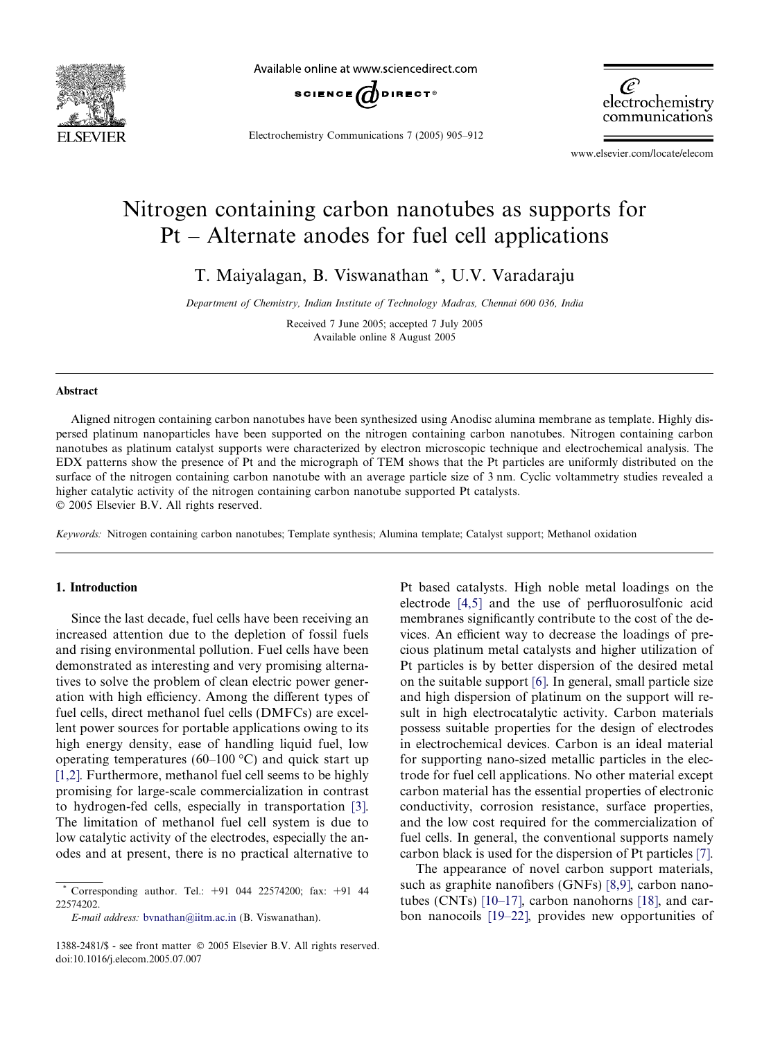

Available online at www.sciencedirect.com



Electrochemistry Communications 7 (2005) 905–912

æ electrochemistry communications

www.elsevier.com/locate/elecom

# Nitrogen containing carbon nanotubes as supports for Pt – Alternate anodes for fuel cell applications

T. Maiyalagan, B. Viswanathan \*, U.V. Varadaraju

*Department of Chemistry, Indian Institute of Technology Madras, Chennai 600 036, India*

Received 7 June 2005; accepted 7 July 2005 Available online 8 August 2005

#### Abstract

Aligned nitrogen containing carbon nanotubes have been synthesized using Anodisc alumina membrane as template. Highly dispersed platinum nanoparticles have been supported on the nitrogen containing carbon nanotubes. Nitrogen containing carbon nanotubes as platinum catalyst supports were characterized by electron microscopic technique and electrochemical analysis. The EDX patterns show the presence of Pt and the micrograph of TEM shows that the Pt particles are uniformly distributed on the surface of the nitrogen containing carbon nanotube with an average particle size of 3 nm. Cyclic voltammetry studies revealed a higher catalytic activity of the nitrogen containing carbon nanotube supported Pt catalysts. 2005 Elsevier B.V. All rights reserved.

*Keywords:* Nitrogen containing carbon nanotubes; Template synthesis; Alumina template; Catalyst support; Methanol oxidation

## 1. Introduction

Since the last decade, fuel cells have been receiving an increased attention due to the depletion of fossil fuels and rising environmental pollution. Fuel cells have been demonstrated as interesting and very promising alternatives to solve the problem of clean electric power generation with high efficiency. Among the different types of fuel cells, direct methanol fuel cells (DMFCs) are excellent power sources for portable applications owing to its high energy density, ease of handling liquid fuel, low operating temperatures (60–100  $^{\circ}$ C) and quick start up [1,2]. Furthermore, methanol fuel cell seems to be highly promising for large-scale commercialization in contrast to hydrogen-fed cells, especially in transportation [3]. The limitation of methanol fuel cell system is due to low catalytic activity of the electrodes, especially the anodes and at present, there is no practical alternative to

*E-mail address:* bvnathan@iitm.ac.in (B. Viswanathan).

Pt based catalysts. High noble metal loadings on the electrode [4,5] and the use of perfluorosulfonic acid membranes significantly contribute to the cost of the devices. An efficient way to decrease the loadings of precious platinum metal catalysts and higher utilization of Pt particles is by better dispersion of the desired metal on the suitable support [6]. In general, small particle size and high dispersion of platinum on the support will result in high electrocatalytic activity. Carbon materials possess suitable properties for the design of electrodes in electrochemical devices. Carbon is an ideal material for supporting nano-sized metallic particles in the electrode for fuel cell applications. No other material except carbon material has the essential properties of electronic conductivity, corrosion resistance, surface properties, and the low cost required for the commercialization of fuel cells. In general, the conventional supports namely carbon black is used for the dispersion of Pt particles [7].

The appearance of novel carbon support materials, such as graphite nanofibers (GNFs) [8,9], carbon nanotubes (CNTs) [10–17], carbon nanohorns [18], and carbon nanocoils [19–22], provides new opportunities of

Corresponding author. Tel.:  $+91$  044 22574200; fax:  $+91$  44 22574202.

<sup>1388-2481/\$ -</sup> see front matter © 2005 Elsevier B.V. All rights reserved. doi:10.1016/j.elecom.2005.07.007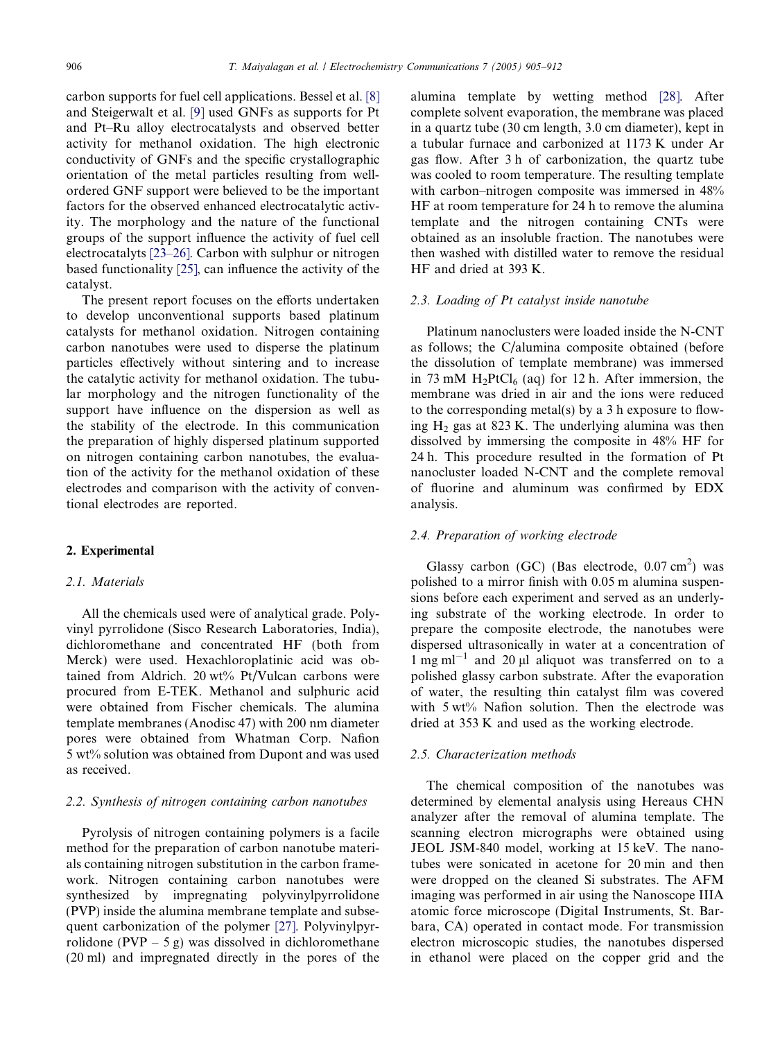carbon supports for fuel cell applications. Bessel et al. [8] and Steigerwalt et al. [9] used GNFs as supports for Pt and Pt–Ru alloy electrocatalysts and observed better activity for methanol oxidation. The high electronic conductivity of GNFs and the specific crystallographic orientation of the metal particles resulting from wellordered GNF support were believed to be the important factors for the observed enhanced electrocatalytic activity. The morphology and the nature of the functional groups of the support influence the activity of fuel cell electrocatalyts [23–26]. Carbon with sulphur or nitrogen based functionality [25], can influence the activity of the catalyst.

The present report focuses on the efforts undertaken to develop unconventional supports based platinum catalysts for methanol oxidation. Nitrogen containing carbon nanotubes were used to disperse the platinum particles effectively without sintering and to increase the catalytic activity for methanol oxidation. The tubular morphology and the nitrogen functionality of the support have influence on the dispersion as well as the stability of the electrode. In this communication the preparation of highly dispersed platinum supported on nitrogen containing carbon nanotubes, the evaluation of the activity for the methanol oxidation of these electrodes and comparison with the activity of conventional electrodes are reported.

### 2. Experimental

### *2.1. Materials*

All the chemicals used were of analytical grade. Polyvinyl pyrrolidone (Sisco Research Laboratories, India), dichloromethane and concentrated HF (both from Merck) were used. Hexachloroplatinic acid was obtained from Aldrich. 20 wt% Pt/Vulcan carbons were procured from E-TEK. Methanol and sulphuric acid were obtained from Fischer chemicals. The alumina template membranes (Anodisc 47) with 200 nm diameter pores were obtained from Whatman Corp. Nafion 5 wt% solution was obtained from Dupont and was used as received.

### *2.2. Synthesis of nitrogen containing carbon nanotubes*

Pyrolysis of nitrogen containing polymers is a facile method for the preparation of carbon nanotube materials containing nitrogen substitution in the carbon framework. Nitrogen containing carbon nanotubes were synthesized by impregnating polyvinylpyrrolidone (PVP) inside the alumina membrane template and subsequent carbonization of the polymer [27]. Polyvinylpyrrolidone (PVP – 5 g) was dissolved in dichloromethane (20 ml) and impregnated directly in the pores of the

alumina template by wetting method [28]. After complete solvent evaporation, the membrane was placed in a quartz tube (30 cm length, 3.0 cm diameter), kept in a tubular furnace and carbonized at 1173 K under Ar gas flow. After 3 h of carbonization, the quartz tube was cooled to room temperature. The resulting template with carbon–nitrogen composite was immersed in 48% HF at room temperature for 24 h to remove the alumina template and the nitrogen containing CNTs were obtained as an insoluble fraction. The nanotubes were then washed with distilled water to remove the residual HF and dried at 393 K.

#### *2.3. Loading of Pt catalyst inside nanotube*

Platinum nanoclusters were loaded inside the N-CNT as follows; the C/alumina composite obtained (before the dissolution of template membrane) was immersed in 73 mM  $H_2PtCl_6$  (aq) for 12 h. After immersion, the membrane was dried in air and the ions were reduced to the corresponding metal(s) by a 3 h exposure to flowing  $H<sub>2</sub>$  gas at 823 K. The underlying alumina was then dissolved by immersing the composite in 48% HF for 24 h. This procedure resulted in the formation of Pt nanocluster loaded N-CNT and the complete removal of fluorine and aluminum was confirmed by EDX analysis.

### *2.4. Preparation of working electrode*

Glassy carbon (GC) (Bas electrode,  $0.07 \text{ cm}^2$ ) was polished to a mirror finish with 0.05 m alumina suspensions before each experiment and served as an underlying substrate of the working electrode. In order to prepare the composite electrode, the nanotubes were dispersed ultrasonically in water at a concentration of  $1 \text{ mg ml}^{-1}$  and  $20 \mu$ l aliquot was transferred on to a polished glassy carbon substrate. After the evaporation of water, the resulting thin catalyst film was covered with 5 wt% Nafion solution. Then the electrode was dried at 353 K and used as the working electrode.

#### *2.5. Characterization methods*

The chemical composition of the nanotubes was determined by elemental analysis using Hereaus CHN analyzer after the removal of alumina template. The scanning electron micrographs were obtained using JEOL JSM-840 model, working at 15 keV. The nanotubes were sonicated in acetone for 20 min and then were dropped on the cleaned Si substrates. The AFM imaging was performed in air using the Nanoscope IIIA atomic force microscope (Digital Instruments, St. Barbara, CA) operated in contact mode. For transmission electron microscopic studies, the nanotubes dispersed in ethanol were placed on the copper grid and the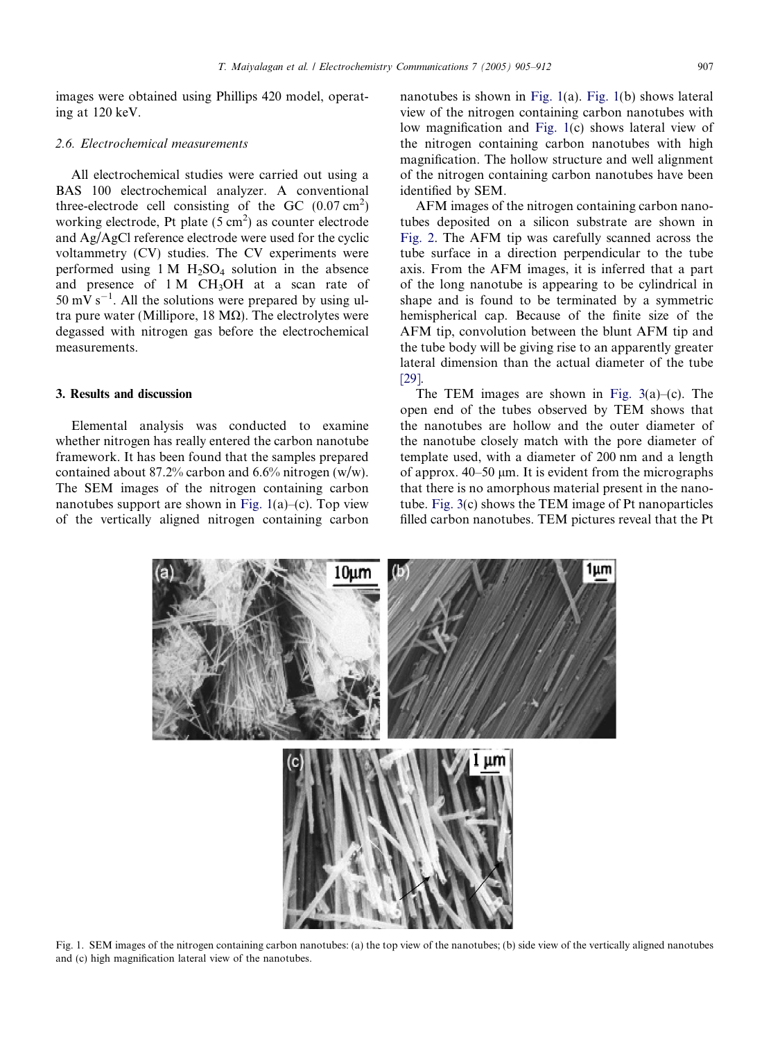images were obtained using Phillips 420 model, operating at 120 keV.

### *2.6. Electrochemical measurements*

All electrochemical studies were carried out using a BAS 100 electrochemical analyzer. A conventional three-electrode cell consisting of the GC  $(0.07 \text{ cm}^2)$ working electrode, Pt plate  $(5 \text{ cm}^2)$  as counter electrode and Ag/AgCl reference electrode were used for the cyclic voltammetry (CV) studies. The CV experiments were performed using  $1 M H_2SO_4$  solution in the absence and presence of  $1 M CH<sub>3</sub>OH$  at a scan rate of  $50 \text{ mV s}^{-1}$ . All the solutions were prepared by using ultra pure water (Millipore, 18  $M\Omega$ ). The electrolytes were degassed with nitrogen gas before the electrochemical measurements.

#### 3. Results and discussion

Elemental analysis was conducted to examine whether nitrogen has really entered the carbon nanotube framework. It has been found that the samples prepared contained about 87.2% carbon and 6.6% nitrogen (w/w). The SEM images of the nitrogen containing carbon nanotubes support are shown in Fig.  $1(a)$ –(c). Top view of the vertically aligned nitrogen containing carbon nanotubes is shown in Fig. 1(a). Fig. 1(b) shows lateral view of the nitrogen containing carbon nanotubes with low magnification and Fig. 1(c) shows lateral view of the nitrogen containing carbon nanotubes with high magnification. The hollow structure and well alignment of the nitrogen containing carbon nanotubes have been identified by SEM.

AFM images of the nitrogen containing carbon nanotubes deposited on a silicon substrate are shown in Fig. 2. The AFM tip was carefully scanned across the tube surface in a direction perpendicular to the tube axis. From the AFM images, it is inferred that a part of the long nanotube is appearing to be cylindrical in shape and is found to be terminated by a symmetric hemispherical cap. Because of the finite size of the AFM tip, convolution between the blunt AFM tip and the tube body will be giving rise to an apparently greater lateral dimension than the actual diameter of the tube [29].

The TEM images are shown in Fig. 3(a)–(c). The open end of the tubes observed by TEM shows that the nanotubes are hollow and the outer diameter of the nanotube closely match with the pore diameter of template used, with a diameter of 200 nm and a length of approx.  $40-50 \mu m$ . It is evident from the micrographs that there is no amorphous material present in the nanotube. Fig. 3(c) shows the TEM image of Pt nanoparticles filled carbon nanotubes. TEM pictures reveal that the Pt



Fig. 1. SEM images of the nitrogen containing carbon nanotubes: (a) the top view of the nanotubes; (b) side view of the vertically aligned nanotubes and (c) high magnification lateral view of the nanotubes.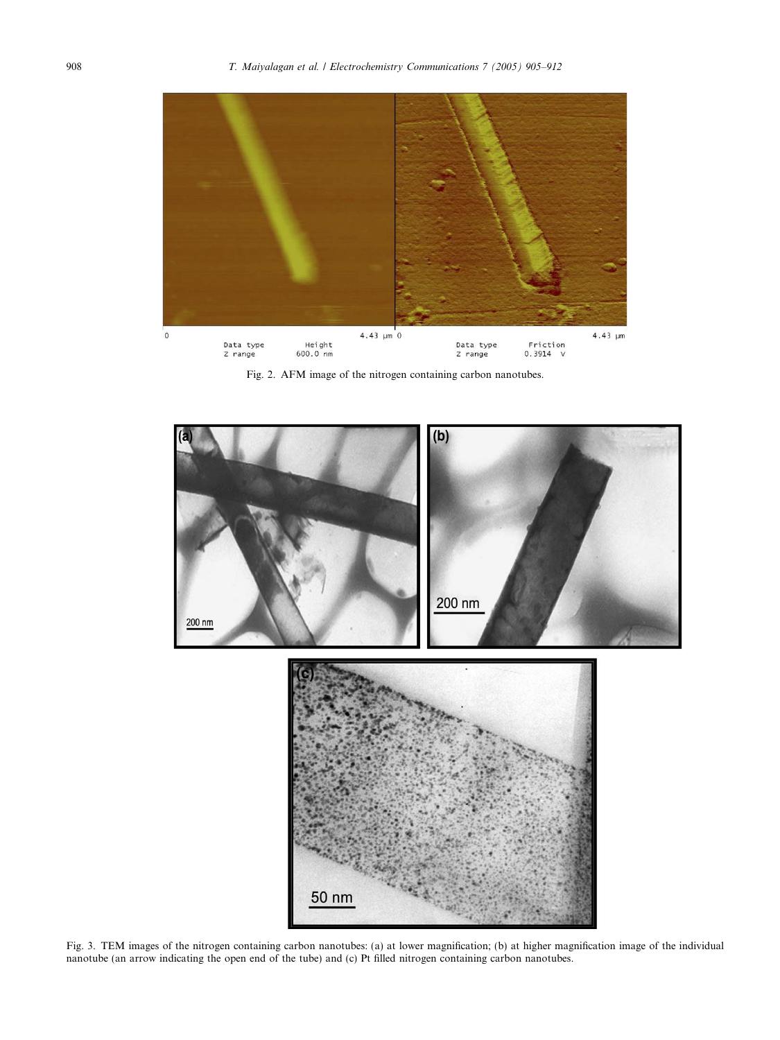

Fig. 2. AFM image of the nitrogen containing carbon nanotubes.



Fig. 3. TEM images of the nitrogen containing carbon nanotubes: (a) at lower magnification; (b) at higher magnification image of the individual nanotube (an arrow indicating the open end of the tube) and (c) Pt filled nitrogen containing carbon nanotubes.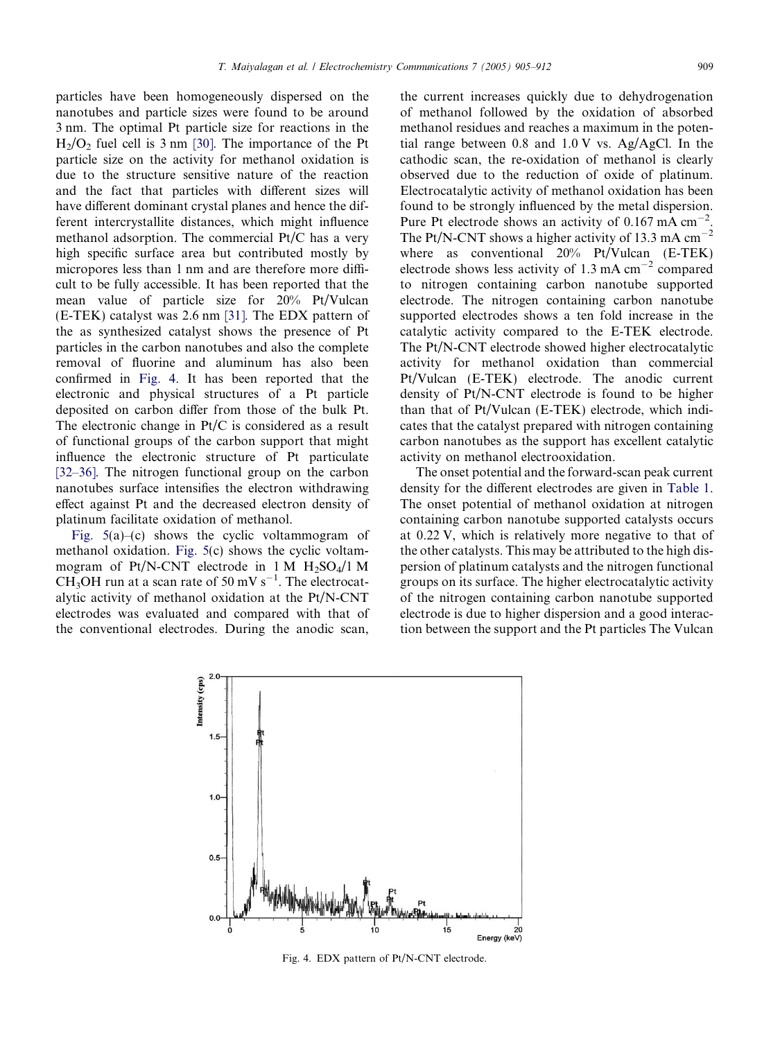particles have been homogeneously dispersed on the nanotubes and particle sizes were found to be around 3 nm. The optimal Pt particle size for reactions in the  $H<sub>2</sub>/O<sub>2</sub>$  fuel cell is 3 nm [30]. The importance of the Pt particle size on the activity for methanol oxidation is due to the structure sensitive nature of the reaction and the fact that particles with different sizes will have different dominant crystal planes and hence the different intercrystallite distances, which might influence methanol adsorption. The commercial Pt/C has a very high specific surface area but contributed mostly by micropores less than 1 nm and are therefore more difficult to be fully accessible. It has been reported that the mean value of particle size for 20% Pt/Vulcan (E-TEK) catalyst was 2.6 nm [31]. The EDX pattern of the as synthesized catalyst shows the presence of Pt particles in the carbon nanotubes and also the complete removal of fluorine and aluminum has also been confirmed in Fig. 4. It has been reported that the electronic and physical structures of a Pt particle deposited on carbon differ from those of the bulk Pt. The electronic change in Pt/C is considered as a result of functional groups of the carbon support that might influence the electronic structure of Pt particulate [32–36]. The nitrogen functional group on the carbon nanotubes surface intensifies the electron withdrawing effect against Pt and the decreased electron density of platinum facilitate oxidation of methanol.

Fig. 5(a)–(c) shows the cyclic voltammogram of methanol oxidation. Fig. 5(c) shows the cyclic voltammogram of Pt/N-CNT electrode in 1 M  $H_2SO_4/1$  M CH<sub>3</sub>OH run at a scan rate of 50 mV s<sup>-1</sup>. The electrocatalytic activity of methanol oxidation at the Pt/N-CNT electrodes was evaluated and compared with that of the conventional electrodes. During the anodic scan,

the current increases quickly due to dehydrogenation of methanol followed by the oxidation of absorbed methanol residues and reaches a maximum in the potential range between 0.8 and 1.0 V vs. Ag/AgCl. In the cathodic scan, the re-oxidation of methanol is clearly observed due to the reduction of oxide of platinum. Electrocatalytic activity of methanol oxidation has been found to be strongly influenced by the metal dispersion. Pure Pt electrode shows an activity of  $0.167 \text{ mA cm}^{-2}$ . The Pt/N-CNT shows a higher activity of 13.3 mA  $cm^{-2}$ where as conventional 20% Pt/Vulcan (E-TEK) electrode shows less activity of  $1.3 \text{ mA cm}^{-2}$  compared to nitrogen containing carbon nanotube supported electrode. The nitrogen containing carbon nanotube supported electrodes shows a ten fold increase in the catalytic activity compared to the E-TEK electrode. The Pt/N-CNT electrode showed higher electrocatalytic activity for methanol oxidation than commercial Pt/Vulcan (E-TEK) electrode. The anodic current density of Pt/N-CNT electrode is found to be higher than that of Pt/Vulcan (E-TEK) electrode, which indicates that the catalyst prepared with nitrogen containing carbon nanotubes as the support has excellent catalytic activity on methanol electrooxidation.

The onset potential and the forward-scan peak current density for the different electrodes are given in Table 1. The onset potential of methanol oxidation at nitrogen containing carbon nanotube supported catalysts occurs at 0.22 V, which is relatively more negative to that of the other catalysts. This may be attributed to the high dispersion of platinum catalysts and the nitrogen functional groups on its surface. The higher electrocatalytic activity of the nitrogen containing carbon nanotube supported electrode is due to higher dispersion and a good interaction between the support and the Pt particles The Vulcan



Fig. 4. EDX pattern of Pt/N-CNT electrode.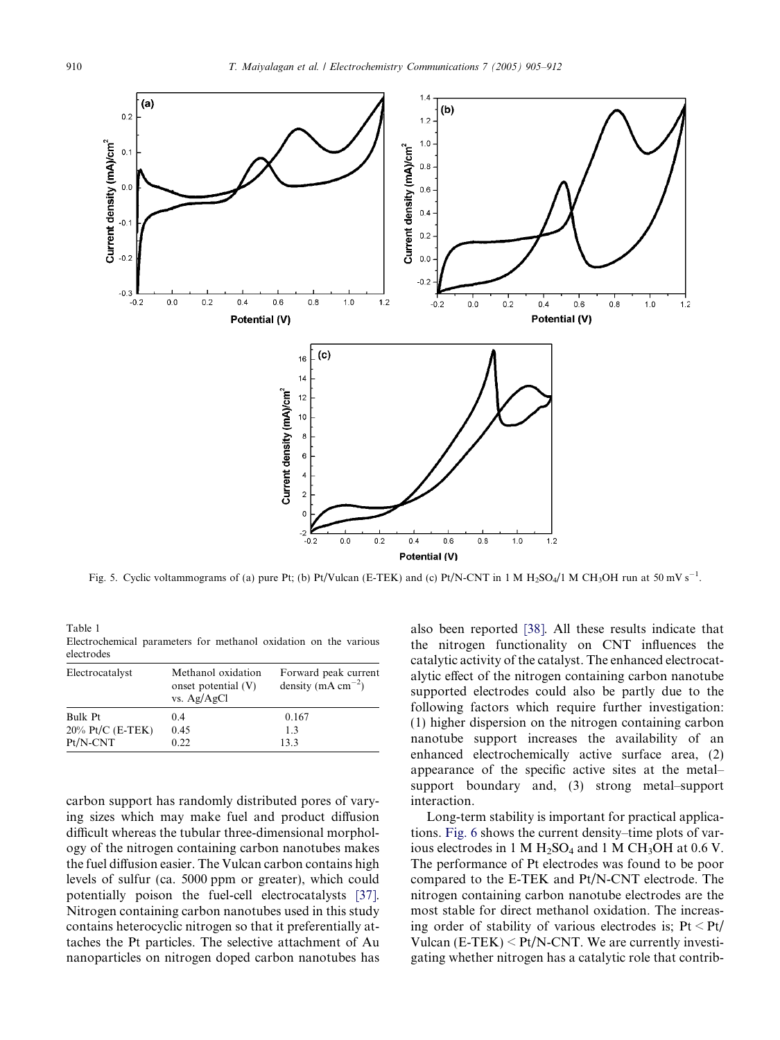

Fig. 5. Cyclic voltammograms of (a) pure Pt; (b) Pt/Vulcan (E-TEK) and (c) Pt/N-CNT in 1 M  $H_2SO_4/1$  M CH<sub>3</sub>OH run at 50 mV s<sup>-1</sup>.

Table 1 Electrochemical parameters for methanol oxidation on the various electrodes

| Electrocatalyst     | Methanol oxidation<br>onset potential (V)<br>vs. $Ag/AgCl$ | Forward peak current<br>density (mA $cm^{-2}$ ) |
|---------------------|------------------------------------------------------------|-------------------------------------------------|
| Bulk Pt             | 0.4                                                        | 0.167                                           |
| $20\%$ Pt/C (E-TEK) | 0.45                                                       | 1.3                                             |
| $Pt/N-CNT$          | 0.22                                                       | 133                                             |

carbon support has randomly distributed pores of varying sizes which may make fuel and product diffusion difficult whereas the tubular three-dimensional morphology of the nitrogen containing carbon nanotubes makes the fuel diffusion easier. The Vulcan carbon contains high levels of sulfur (ca. 5000 ppm or greater), which could potentially poison the fuel-cell electrocatalysts [37]. Nitrogen containing carbon nanotubes used in this study contains heterocyclic nitrogen so that it preferentially attaches the Pt particles. The selective attachment of Au nanoparticles on nitrogen doped carbon nanotubes has also been reported [38]. All these results indicate that the nitrogen functionality on CNT influences the catalytic activity of the catalyst. The enhanced electrocatalytic effect of the nitrogen containing carbon nanotube supported electrodes could also be partly due to the following factors which require further investigation: (1) higher dispersion on the nitrogen containing carbon nanotube support increases the availability of an enhanced electrochemically active surface area, (2) appearance of the specific active sites at the metal– support boundary and, (3) strong metal–support interaction.

Long-term stability is important for practical applications. Fig. 6 shows the current density–time plots of various electrodes in 1 M  $H_2SO_4$  and 1 M CH<sub>3</sub>OH at 0.6 V. The performance of Pt electrodes was found to be poor compared to the E-TEK and Pt/N-CNT electrode. The nitrogen containing carbon nanotube electrodes are the most stable for direct methanol oxidation. The increasing order of stability of various electrodes is;  $Pt < Pt/$ Vulcan  $(E-TEK) < Pt/N-CNT$ . We are currently investigating whether nitrogen has a catalytic role that contrib-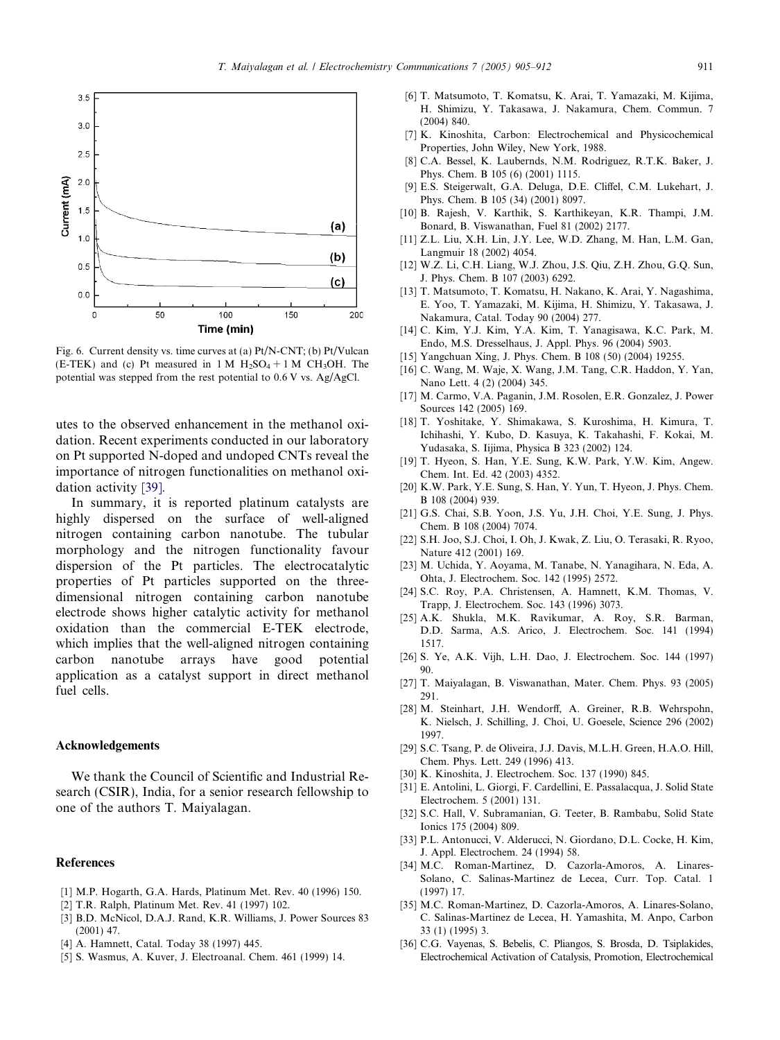

Fig. 6. Current density vs. time curves at (a) Pt/N-CNT; (b) Pt/Vulcan (E-TEK) and (c) Pt measured in 1 M  $H_2SO_4 + 1$  M CH<sub>3</sub>OH. The potential was stepped from the rest potential to 0.6 V vs. Ag/AgCl.

utes to the observed enhancement in the methanol oxidation. Recent experiments conducted in our laboratory on Pt supported N-doped and undoped CNTs reveal the importance of nitrogen functionalities on methanol oxidation activity [39].

In summary, it is reported platinum catalysts are highly dispersed on the surface of well-aligned nitrogen containing carbon nanotube. The tubular morphology and the nitrogen functionality favour dispersion of the Pt particles. The electrocatalytic properties of Pt particles supported on the threedimensional nitrogen containing carbon nanotube electrode shows higher catalytic activity for methanol oxidation than the commercial E-TEK electrode, which implies that the well-aligned nitrogen containing carbon nanotube arrays have good potential application as a catalyst support in direct methanol fuel cells.

### Acknowledgements

We thank the Council of Scientific and Industrial Research (CSIR), India, for a senior research fellowship to one of the authors T. Maiyalagan.

### References

- [1] M.P. Hogarth, G.A. Hards, Platinum Met. Rev. 40 (1996) 150.
- [2] T.R. Ralph, Platinum Met. Rev. 41 (1997) 102.
- [3] B.D. McNicol, D.A.J. Rand, K.R. Williams, J. Power Sources 83 (2001) 47.
- [4] A. Hamnett, Catal. Today 38 (1997) 445.
- [5] S. Wasmus, A. Kuver, J. Electroanal. Chem. 461 (1999) 14.
- [6] T. Matsumoto, T. Komatsu, K. Arai, T. Yamazaki, M. Kijima, H. Shimizu, Y. Takasawa, J. Nakamura, Chem. Commun. 7 (2004) 840.
- [7] K. Kinoshita, Carbon: Electrochemical and Physicochemical Properties, John Wiley, New York, 1988.
- [8] C.A. Bessel, K. Laubernds, N.M. Rodriguez, R.T.K. Baker, J. Phys. Chem. B 105 (6) (2001) 1115.
- [9] E.S. Steigerwalt, G.A. Deluga, D.E. Cliffel, C.M. Lukehart, J. Phys. Chem. B 105 (34) (2001) 8097.
- [10] B. Rajesh, V. Karthik, S. Karthikeyan, K.R. Thampi, J.M. Bonard, B. Viswanathan, Fuel 81 (2002) 2177.
- [11] Z.L. Liu, X.H. Lin, J.Y. Lee, W.D. Zhang, M. Han, L.M. Gan, Langmuir 18 (2002) 4054.
- [12] W.Z. Li, C.H. Liang, W.J. Zhou, J.S. Qiu, Z.H. Zhou, G.Q. Sun, J. Phys. Chem. B 107 (2003) 6292.
- [13] T. Matsumoto, T. Komatsu, H. Nakano, K. Arai, Y. Nagashima, E. Yoo, T. Yamazaki, M. Kijima, H. Shimizu, Y. Takasawa, J. Nakamura, Catal. Today 90 (2004) 277.
- [14] C. Kim, Y.J. Kim, Y.A. Kim, T. Yanagisawa, K.C. Park, M. Endo, M.S. Dresselhaus, J. Appl. Phys. 96 (2004) 5903.
- [15] Yangchuan Xing, J. Phys. Chem. B 108 (50) (2004) 19255.
- [16] C. Wang, M. Waje, X. Wang, J.M. Tang, C.R. Haddon, Y. Yan, Nano Lett. 4 (2) (2004) 345.
- [17] M. Carmo, V.A. Paganin, J.M. Rosolen, E.R. Gonzalez, J. Power Sources 142 (2005) 169.
- [18] T. Yoshitake, Y. Shimakawa, S. Kuroshima, H. Kimura, T. Ichihashi, Y. Kubo, D. Kasuya, K. Takahashi, F. Kokai, M. Yudasaka, S. Iijima, Physica B 323 (2002) 124.
- [19] T. Hyeon, S. Han, Y.E. Sung, K.W. Park, Y.W. Kim, Angew. Chem. Int. Ed. 42 (2003) 4352.
- [20] K.W. Park, Y.E. Sung, S. Han, Y. Yun, T. Hyeon, J. Phys. Chem. B 108 (2004) 939.
- [21] G.S. Chai, S.B. Yoon, J.S. Yu, J.H. Choi, Y.E. Sung, J. Phys. Chem. B 108 (2004) 7074.
- [22] S.H. Joo, S.J. Choi, I. Oh, J. Kwak, Z. Liu, O. Terasaki, R. Ryoo, Nature 412 (2001) 169.
- [23] M. Uchida, Y. Aoyama, M. Tanabe, N. Yanagihara, N. Eda, A. Ohta, J. Electrochem. Soc. 142 (1995) 2572.
- [24] S.C. Roy, P.A. Christensen, A. Hamnett, K.M. Thomas, V. Trapp, J. Electrochem. Soc. 143 (1996) 3073.
- [25] A.K. Shukla, M.K. Ravikumar, A. Roy, S.R. Barman, D.D. Sarma, A.S. Arico, J. Electrochem. Soc. 141 (1994) 1517.
- [26] S. Ye, A.K. Vijh, L.H. Dao, J. Electrochem. Soc. 144 (1997) 90.
- [27] T. Maiyalagan, B. Viswanathan, Mater. Chem. Phys. 93 (2005) 291.
- [28] M. Steinhart, J.H. Wendorff, A. Greiner, R.B. Wehrspohn, K. Nielsch, J. Schilling, J. Choi, U. Goesele, Science 296 (2002) 1997.
- [29] S.C. Tsang, P. de Oliveira, J.J. Davis, M.L.H. Green, H.A.O. Hill, Chem. Phys. Lett. 249 (1996) 413.
- [30] K. Kinoshita, J. Electrochem. Soc. 137 (1990) 845.
- [31] E. Antolini, L. Giorgi, F. Cardellini, E. Passalacqua, J. Solid State Electrochem. 5 (2001) 131.
- [32] S.C. Hall, V. Subramanian, G. Teeter, B. Rambabu, Solid State Ionics 175 (2004) 809.
- [33] P.L. Antonucci, V. Alderucci, N. Giordano, D.L. Cocke, H. Kim, J. Appl. Electrochem. 24 (1994) 58.
- [34] M.C. Roman-Martinez, D. Cazorla-Amoros, A. Linares-Solano, C. Salinas-Martinez de Lecea, Curr. Top. Catal. 1 (1997) 17.
- [35] M.C. Roman-Martinez, D. Cazorla-Amoros, A. Linares-Solano, C. Salinas-Martinez de Lecea, H. Yamashita, M. Anpo, Carbon 33 (1) (1995) 3.
- [36] C.G. Vayenas, S. Bebelis, C. Pliangos, S. Brosda, D. Tsiplakides, Electrochemical Activation of Catalysis, Promotion, Electrochemical